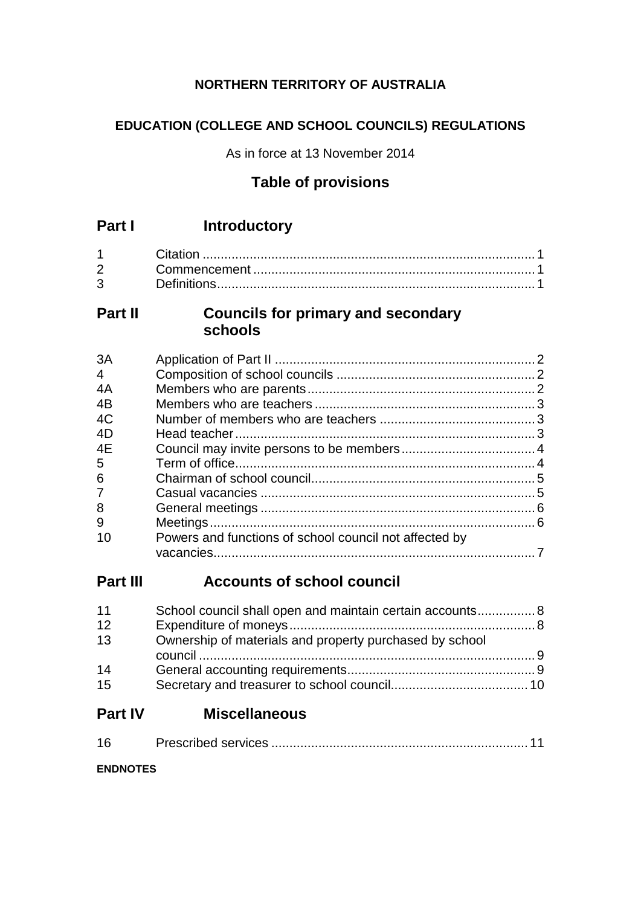# **NORTHERN TERRITORY OF AUSTRALIA**

# **EDUCATION (COLLEGE AND SCHOOL COUNCILS) REGULATIONS**

As in force at 13 November 2014

# **Table of provisions**

| $2 \left( \frac{1}{2} \right)$ |  |
|--------------------------------|--|
| $3^{\circ}$                    |  |

# **Part II Councils for primary and secondary schools**

| 3A             |                                                        |  |
|----------------|--------------------------------------------------------|--|
| $\overline{4}$ |                                                        |  |
| 4A             |                                                        |  |
| 4B             |                                                        |  |
| 4C             |                                                        |  |
| 4D             |                                                        |  |
| 4E             |                                                        |  |
| 5              |                                                        |  |
| 6              |                                                        |  |
| $\overline{7}$ |                                                        |  |
| 8              |                                                        |  |
| 9              |                                                        |  |
| 10             | Powers and functions of school council not affected by |  |
|                |                                                        |  |

# **Part III Accounts of school council**

| 11 | School council shall open and maintain certain accounts 8 |  |
|----|-----------------------------------------------------------|--|
| 12 |                                                           |  |
| 13 | Ownership of materials and property purchased by school   |  |
| 14 |                                                           |  |
| 15 |                                                           |  |
|    |                                                           |  |

# **Part IV Miscellaneous**

| 16 |  |  |
|----|--|--|
|    |  |  |

**ENDNOTES**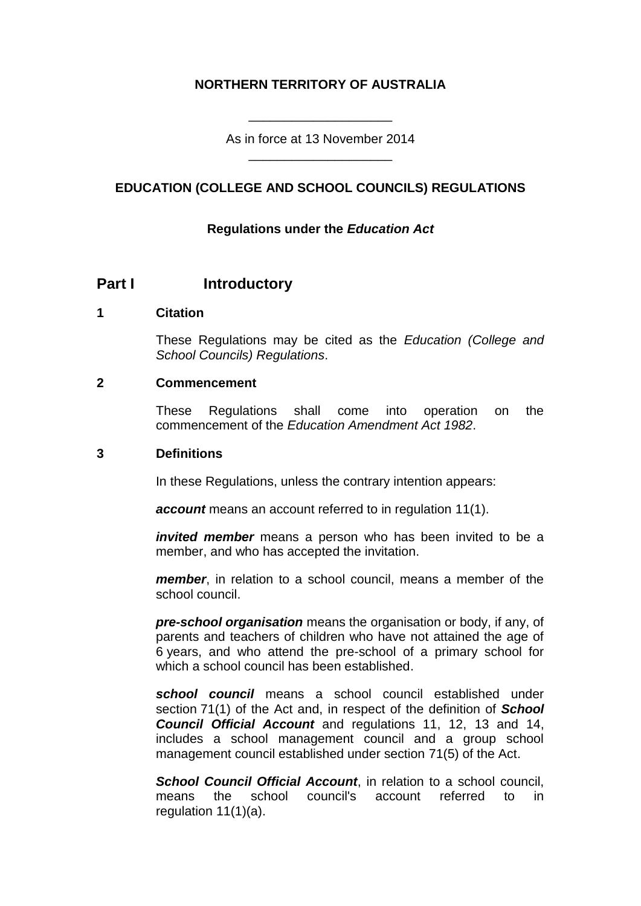## **NORTHERN TERRITORY OF AUSTRALIA**

As in force at 13 November 2014 \_\_\_\_\_\_\_\_\_\_\_\_\_\_\_\_\_\_\_\_

\_\_\_\_\_\_\_\_\_\_\_\_\_\_\_\_\_\_\_\_

### **EDUCATION (COLLEGE AND SCHOOL COUNCILS) REGULATIONS**

#### **Regulations under the** *Education Act*

#### **Part I Introductory**

#### **1 Citation**

These Regulations may be cited as the *Education (College and School Councils) Regulations*.

#### **2 Commencement**

These Regulations shall come into operation on the commencement of the *Education Amendment Act 1982*.

#### **3 Definitions**

In these Regulations, unless the contrary intention appears:

*account* means an account referred to in regulation 11(1).

*invited member* means a person who has been invited to be a member, and who has accepted the invitation.

*member*, in relation to a school council, means a member of the school council.

*pre-school organisation* means the organisation or body, if any, of parents and teachers of children who have not attained the age of 6 years, and who attend the pre-school of a primary school for which a school council has been established.

*school council* means a school council established under section 71(1) of the Act and, in respect of the definition of *School Council Official Account* and regulations 11, 12, 13 and 14, includes a school management council and a group school management council established under section 71(5) of the Act.

*School Council Official Account*, in relation to a school council, means the school council's account referred to in regulation 11(1)(a).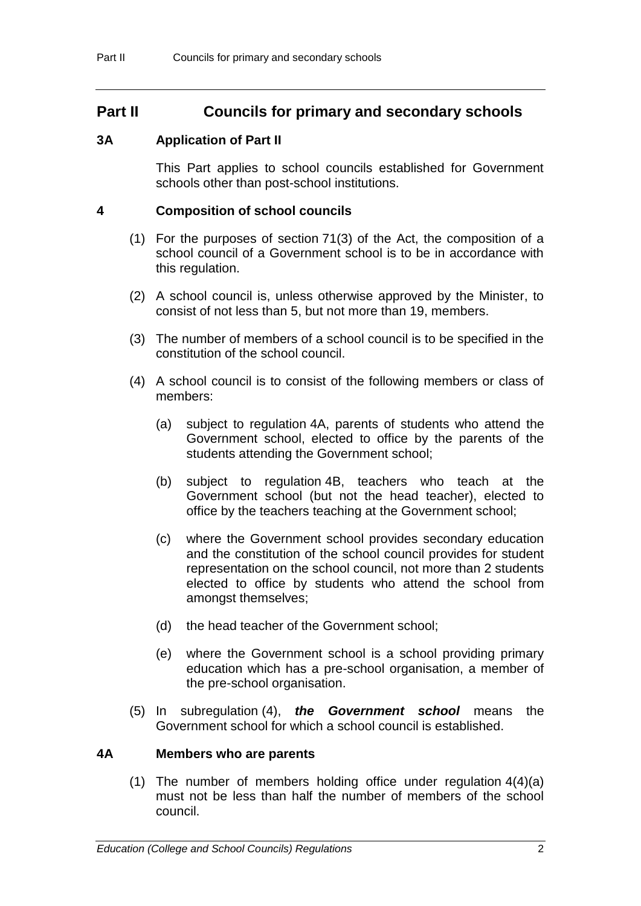# **Part II Councils for primary and secondary schools**

### **3A Application of Part II**

This Part applies to school councils established for Government schools other than post-school institutions.

#### **4 Composition of school councils**

- (1) For the purposes of section 71(3) of the Act, the composition of a school council of a Government school is to be in accordance with this regulation.
- (2) A school council is, unless otherwise approved by the Minister, to consist of not less than 5, but not more than 19, members.
- (3) The number of members of a school council is to be specified in the constitution of the school council.
- (4) A school council is to consist of the following members or class of members:
	- (a) subject to regulation 4A, parents of students who attend the Government school, elected to office by the parents of the students attending the Government school;
	- (b) subject to regulation 4B, teachers who teach at the Government school (but not the head teacher), elected to office by the teachers teaching at the Government school;
	- (c) where the Government school provides secondary education and the constitution of the school council provides for student representation on the school council, not more than 2 students elected to office by students who attend the school from amongst themselves;
	- (d) the head teacher of the Government school;
	- (e) where the Government school is a school providing primary education which has a pre-school organisation, a member of the pre-school organisation.
- (5) In subregulation (4), *the Government school* means the Government school for which a school council is established.

#### **4A Members who are parents**

(1) The number of members holding office under regulation 4(4)(a) must not be less than half the number of members of the school council.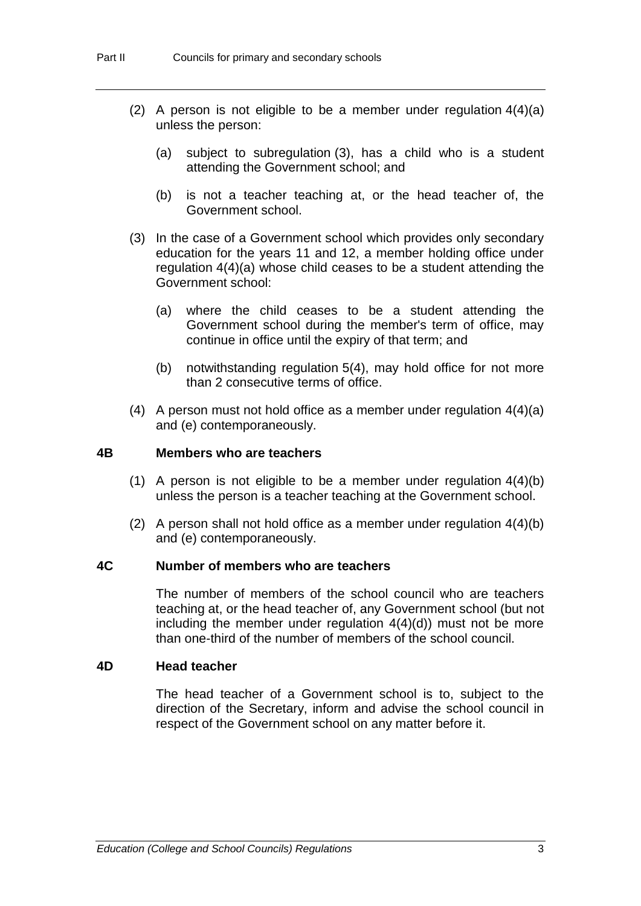- (2) A person is not eligible to be a member under regulation 4(4)(a) unless the person:
	- (a) subject to subregulation (3), has a child who is a student attending the Government school; and
	- (b) is not a teacher teaching at, or the head teacher of, the Government school.
- (3) In the case of a Government school which provides only secondary education for the years 11 and 12, a member holding office under regulation 4(4)(a) whose child ceases to be a student attending the Government school:
	- (a) where the child ceases to be a student attending the Government school during the member's term of office, may continue in office until the expiry of that term; and
	- (b) notwithstanding regulation 5(4), may hold office for not more than 2 consecutive terms of office.
- (4) A person must not hold office as a member under regulation 4(4)(a) and (e) contemporaneously.

#### **4B Members who are teachers**

- (1) A person is not eligible to be a member under regulation 4(4)(b) unless the person is a teacher teaching at the Government school.
- (2) A person shall not hold office as a member under regulation 4(4)(b) and (e) contemporaneously.

#### **4C Number of members who are teachers**

The number of members of the school council who are teachers teaching at, or the head teacher of, any Government school (but not including the member under regulation 4(4)(d)) must not be more than one-third of the number of members of the school council.

#### **4D Head teacher**

The head teacher of a Government school is to, subject to the direction of the Secretary, inform and advise the school council in respect of the Government school on any matter before it.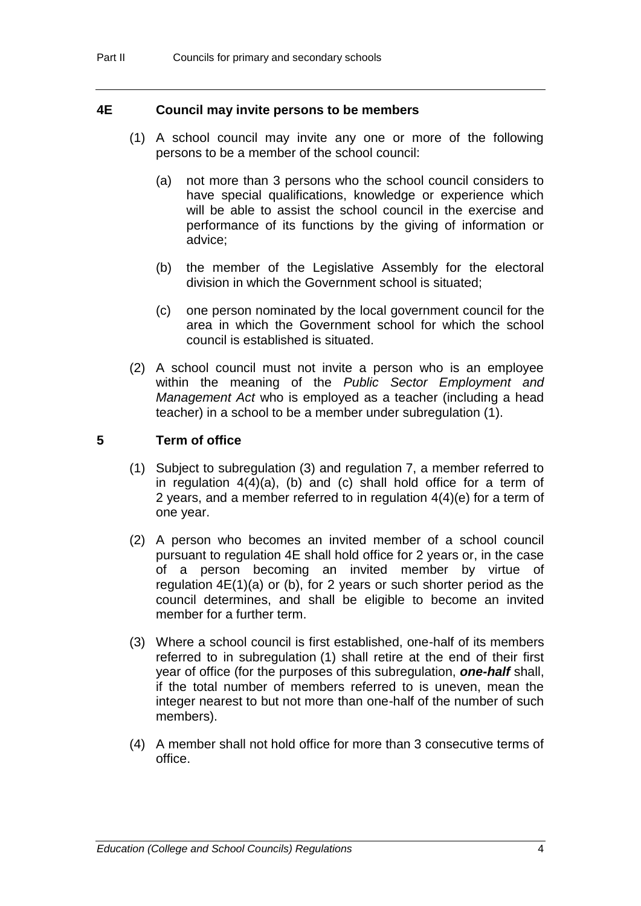#### **4E Council may invite persons to be members**

- (1) A school council may invite any one or more of the following persons to be a member of the school council:
	- (a) not more than 3 persons who the school council considers to have special qualifications, knowledge or experience which will be able to assist the school council in the exercise and performance of its functions by the giving of information or advice;
	- (b) the member of the Legislative Assembly for the electoral division in which the Government school is situated;
	- (c) one person nominated by the local government council for the area in which the Government school for which the school council is established is situated.
- (2) A school council must not invite a person who is an employee within the meaning of the *Public Sector Employment and Management Act* who is employed as a teacher (including a head teacher) in a school to be a member under subregulation (1).

#### **5 Term of office**

- (1) Subject to subregulation (3) and regulation 7, a member referred to in regulation 4(4)(a), (b) and (c) shall hold office for a term of 2 years, and a member referred to in regulation 4(4)(e) for a term of one year.
- (2) A person who becomes an invited member of a school council pursuant to regulation 4E shall hold office for 2 years or, in the case of a person becoming an invited member by virtue of regulation 4E(1)(a) or (b), for 2 years or such shorter period as the council determines, and shall be eligible to become an invited member for a further term.
- (3) Where a school council is first established, one-half of its members referred to in subregulation (1) shall retire at the end of their first year of office (for the purposes of this subregulation, *one-half* shall, if the total number of members referred to is uneven, mean the integer nearest to but not more than one-half of the number of such members).
- (4) A member shall not hold office for more than 3 consecutive terms of office.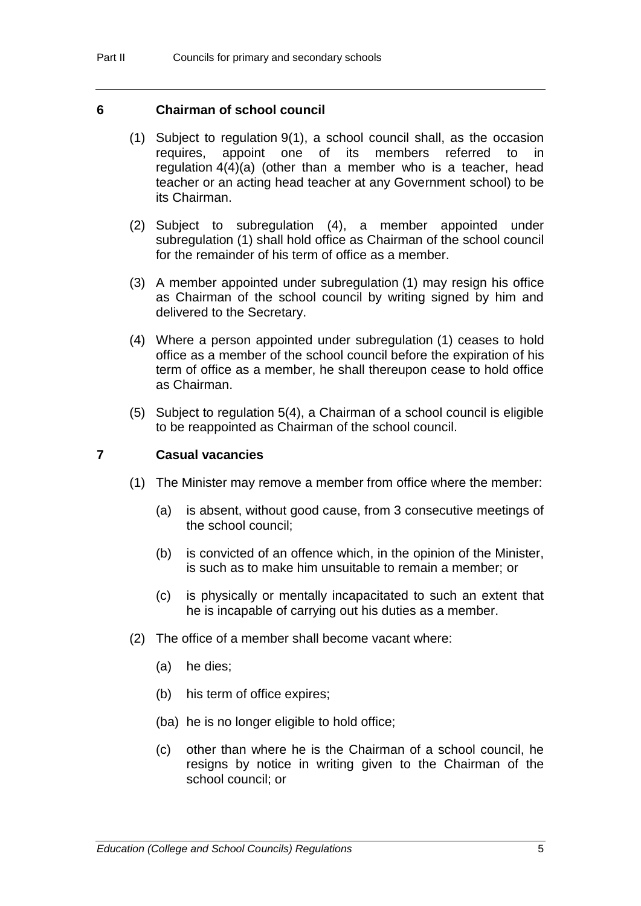#### **6 Chairman of school council**

- (1) Subject to regulation 9(1), a school council shall, as the occasion requires, appoint one of its members referred to in regulation 4(4)(a) (other than a member who is a teacher, head teacher or an acting head teacher at any Government school) to be its Chairman.
- (2) Subject to subregulation (4), a member appointed under subregulation (1) shall hold office as Chairman of the school council for the remainder of his term of office as a member.
- (3) A member appointed under subregulation (1) may resign his office as Chairman of the school council by writing signed by him and delivered to the Secretary.
- (4) Where a person appointed under subregulation (1) ceases to hold office as a member of the school council before the expiration of his term of office as a member, he shall thereupon cease to hold office as Chairman.
- (5) Subject to regulation 5(4), a Chairman of a school council is eligible to be reappointed as Chairman of the school council.

#### **7 Casual vacancies**

- (1) The Minister may remove a member from office where the member:
	- (a) is absent, without good cause, from 3 consecutive meetings of the school council;
	- (b) is convicted of an offence which, in the opinion of the Minister, is such as to make him unsuitable to remain a member; or
	- (c) is physically or mentally incapacitated to such an extent that he is incapable of carrying out his duties as a member.
- (2) The office of a member shall become vacant where:
	- (a) he dies;
	- (b) his term of office expires;
	- (ba) he is no longer eligible to hold office;
	- (c) other than where he is the Chairman of a school council, he resigns by notice in writing given to the Chairman of the school council; or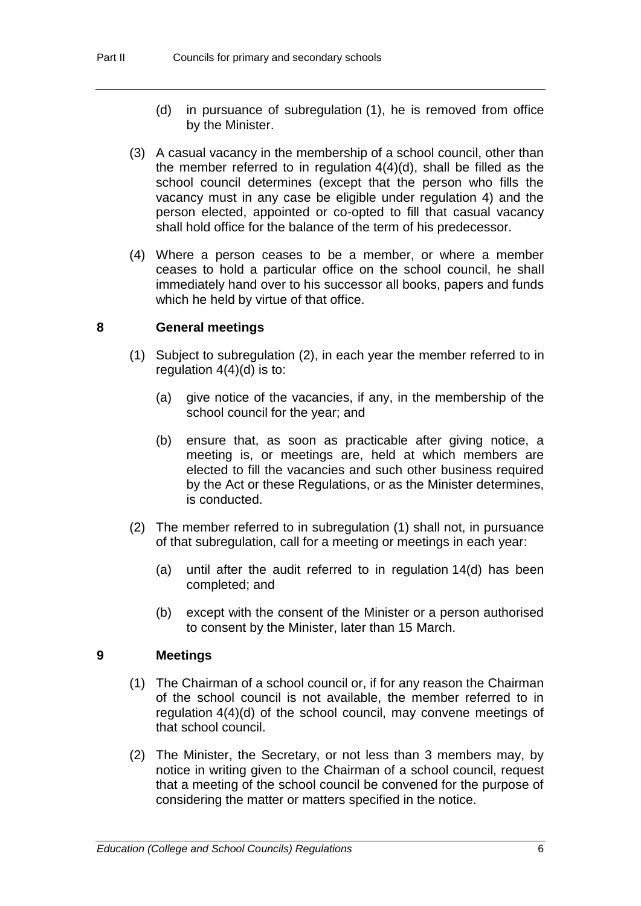- (d) in pursuance of subregulation (1), he is removed from office by the Minister.
- (3) A casual vacancy in the membership of a school council, other than the member referred to in regulation 4(4)(d), shall be filled as the school council determines (except that the person who fills the vacancy must in any case be eligible under regulation 4) and the person elected, appointed or co-opted to fill that casual vacancy shall hold office for the balance of the term of his predecessor.
- (4) Where a person ceases to be a member, or where a member ceases to hold a particular office on the school council, he shall immediately hand over to his successor all books, papers and funds which he held by virtue of that office.

#### **8 General meetings**

- (1) Subject to subregulation (2), in each year the member referred to in regulation 4(4)(d) is to:
	- (a) give notice of the vacancies, if any, in the membership of the school council for the year; and
	- (b) ensure that, as soon as practicable after giving notice, a meeting is, or meetings are, held at which members are elected to fill the vacancies and such other business required by the Act or these Regulations, or as the Minister determines, is conducted.
- (2) The member referred to in subregulation (1) shall not, in pursuance of that subregulation, call for a meeting or meetings in each year:
	- (a) until after the audit referred to in regulation 14(d) has been completed; and
	- (b) except with the consent of the Minister or a person authorised to consent by the Minister, later than 15 March.

#### **9 Meetings**

- (1) The Chairman of a school council or, if for any reason the Chairman of the school council is not available, the member referred to in regulation 4(4)(d) of the school council, may convene meetings of that school council.
- (2) The Minister, the Secretary, or not less than 3 members may, by notice in writing given to the Chairman of a school council, request that a meeting of the school council be convened for the purpose of considering the matter or matters specified in the notice.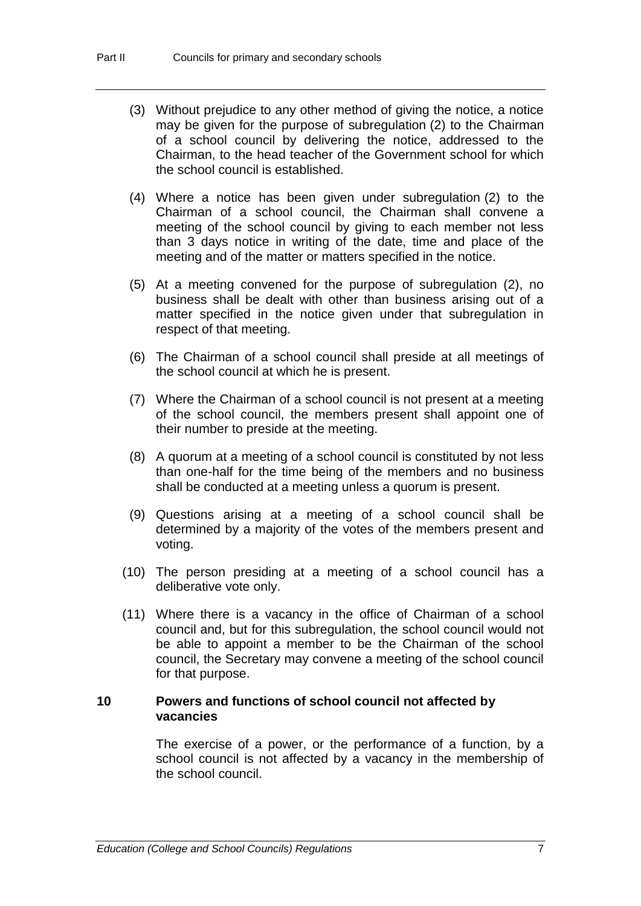- (3) Without prejudice to any other method of giving the notice, a notice may be given for the purpose of subregulation (2) to the Chairman of a school council by delivering the notice, addressed to the Chairman, to the head teacher of the Government school for which the school council is established.
- (4) Where a notice has been given under subregulation (2) to the Chairman of a school council, the Chairman shall convene a meeting of the school council by giving to each member not less than 3 days notice in writing of the date, time and place of the meeting and of the matter or matters specified in the notice.
- (5) At a meeting convened for the purpose of subregulation (2), no business shall be dealt with other than business arising out of a matter specified in the notice given under that subregulation in respect of that meeting.
- (6) The Chairman of a school council shall preside at all meetings of the school council at which he is present.
- (7) Where the Chairman of a school council is not present at a meeting of the school council, the members present shall appoint one of their number to preside at the meeting.
- (8) A quorum at a meeting of a school council is constituted by not less than one-half for the time being of the members and no business shall be conducted at a meeting unless a quorum is present.
- (9) Questions arising at a meeting of a school council shall be determined by a majority of the votes of the members present and voting.
- (10) The person presiding at a meeting of a school council has a deliberative vote only.
- (11) Where there is a vacancy in the office of Chairman of a school council and, but for this subregulation, the school council would not be able to appoint a member to be the Chairman of the school council, the Secretary may convene a meeting of the school council for that purpose.

#### **10 Powers and functions of school council not affected by vacancies**

The exercise of a power, or the performance of a function, by a school council is not affected by a vacancy in the membership of the school council.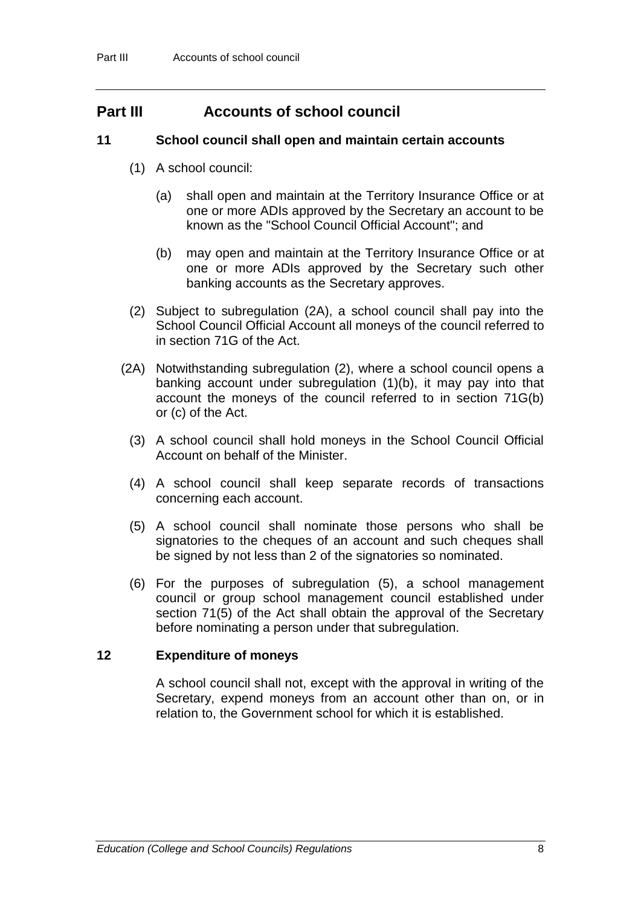# **Part III Accounts of school council**

#### **11 School council shall open and maintain certain accounts**

- (1) A school council:
	- (a) shall open and maintain at the Territory Insurance Office or at one or more ADIs approved by the Secretary an account to be known as the "School Council Official Account"; and
	- (b) may open and maintain at the Territory Insurance Office or at one or more ADIs approved by the Secretary such other banking accounts as the Secretary approves.
- (2) Subject to subregulation (2A), a school council shall pay into the School Council Official Account all moneys of the council referred to in section 71G of the Act.
- (2A) Notwithstanding subregulation (2), where a school council opens a banking account under subregulation (1)(b), it may pay into that account the moneys of the council referred to in section 71G(b) or (c) of the Act.
	- (3) A school council shall hold moneys in the School Council Official Account on behalf of the Minister.
	- (4) A school council shall keep separate records of transactions concerning each account.
	- (5) A school council shall nominate those persons who shall be signatories to the cheques of an account and such cheques shall be signed by not less than 2 of the signatories so nominated.
	- (6) For the purposes of subregulation (5), a school management council or group school management council established under section 71(5) of the Act shall obtain the approval of the Secretary before nominating a person under that subregulation.

#### **12 Expenditure of moneys**

A school council shall not, except with the approval in writing of the Secretary, expend moneys from an account other than on, or in relation to, the Government school for which it is established.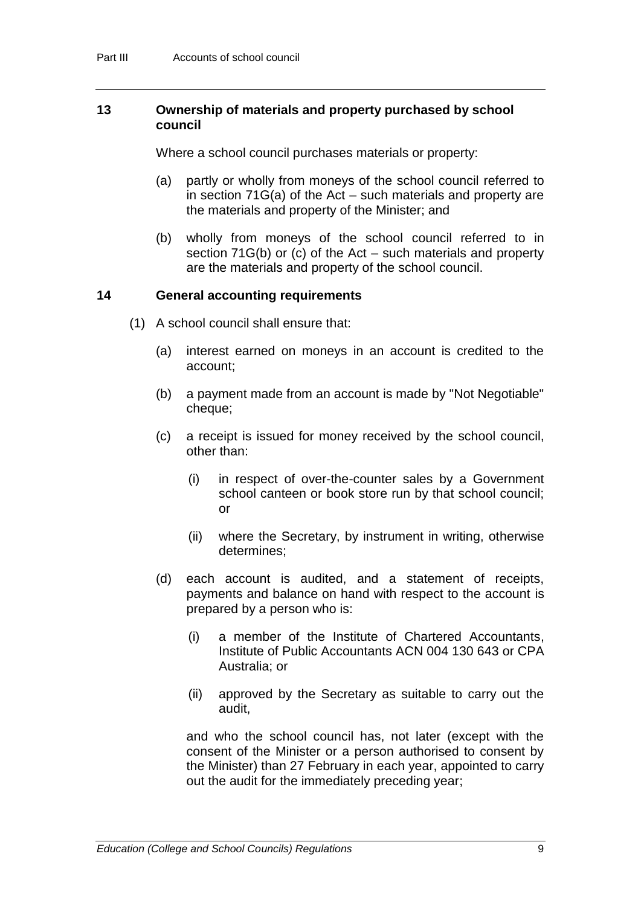#### **13 Ownership of materials and property purchased by school council**

Where a school council purchases materials or property:

- (a) partly or wholly from moneys of the school council referred to in section 71G(a) of the Act – such materials and property are the materials and property of the Minister; and
- (b) wholly from moneys of the school council referred to in section 71G(b) or (c) of the Act – such materials and property are the materials and property of the school council.

#### **14 General accounting requirements**

- (1) A school council shall ensure that:
	- (a) interest earned on moneys in an account is credited to the account;
	- (b) a payment made from an account is made by "Not Negotiable" cheque;
	- (c) a receipt is issued for money received by the school council, other than:
		- (i) in respect of over-the-counter sales by a Government school canteen or book store run by that school council; or
		- (ii) where the Secretary, by instrument in writing, otherwise determines;
	- (d) each account is audited, and a statement of receipts, payments and balance on hand with respect to the account is prepared by a person who is:
		- (i) a member of the Institute of Chartered Accountants, Institute of Public Accountants ACN 004 130 643 or CPA Australia; or
		- (ii) approved by the Secretary as suitable to carry out the audit,

and who the school council has, not later (except with the consent of the Minister or a person authorised to consent by the Minister) than 27 February in each year, appointed to carry out the audit for the immediately preceding year;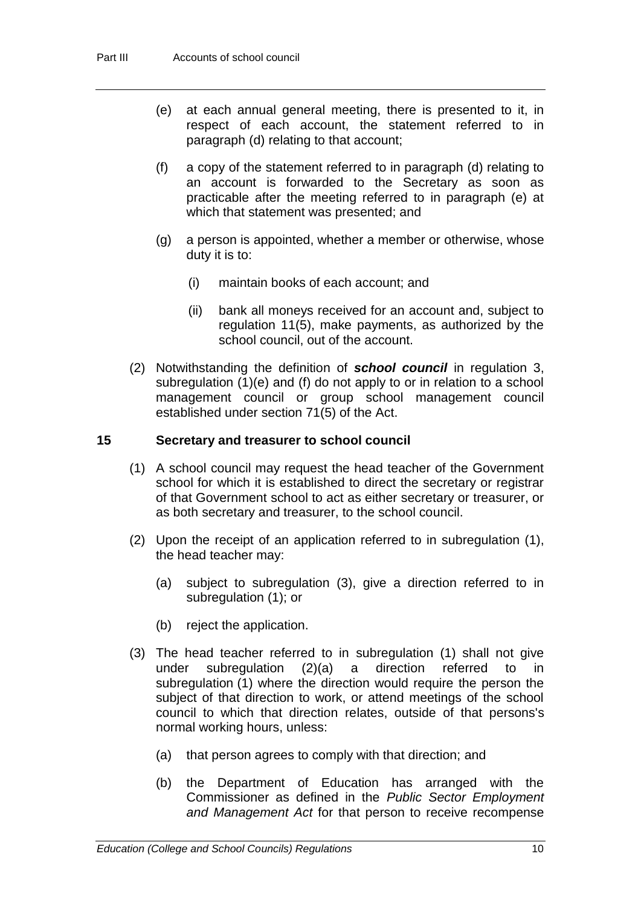- (e) at each annual general meeting, there is presented to it, in respect of each account, the statement referred to in paragraph (d) relating to that account;
- (f) a copy of the statement referred to in paragraph (d) relating to an account is forwarded to the Secretary as soon as practicable after the meeting referred to in paragraph (e) at which that statement was presented; and
- (g) a person is appointed, whether a member or otherwise, whose duty it is to:
	- (i) maintain books of each account; and
	- (ii) bank all moneys received for an account and, subject to regulation 11(5), make payments, as authorized by the school council, out of the account.
- (2) Notwithstanding the definition of *school council* in regulation 3, subregulation (1)(e) and (f) do not apply to or in relation to a school management council or group school management council established under section 71(5) of the Act.

#### **15 Secretary and treasurer to school council**

- (1) A school council may request the head teacher of the Government school for which it is established to direct the secretary or registrar of that Government school to act as either secretary or treasurer, or as both secretary and treasurer, to the school council.
- (2) Upon the receipt of an application referred to in subregulation (1), the head teacher may:
	- (a) subject to subregulation (3), give a direction referred to in subregulation (1); or
	- (b) reject the application.
- (3) The head teacher referred to in subregulation (1) shall not give under subregulation (2)(a) a direction referred to in subregulation (1) where the direction would require the person the subject of that direction to work, or attend meetings of the school council to which that direction relates, outside of that persons's normal working hours, unless:
	- (a) that person agrees to comply with that direction; and
	- (b) the Department of Education has arranged with the Commissioner as defined in the *Public Sector Employment and Management Act* for that person to receive recompense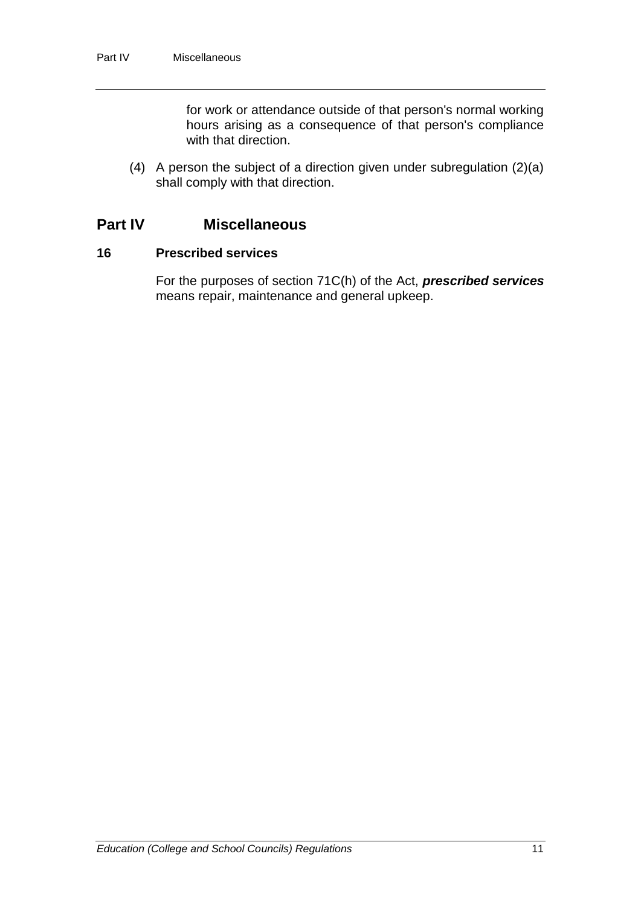for work or attendance outside of that person's normal working hours arising as a consequence of that person's compliance with that direction.

(4) A person the subject of a direction given under subregulation (2)(a) shall comply with that direction.

# **Part IV Miscellaneous**

#### **16 Prescribed services**

For the purposes of section 71C(h) of the Act, *prescribed services* means repair, maintenance and general upkeep.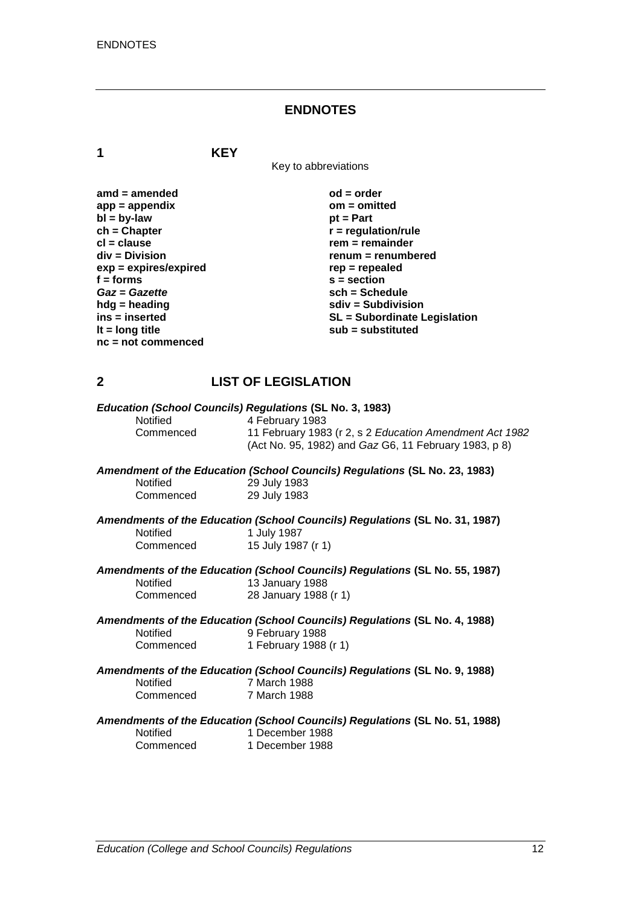#### **ENDNOTES**

**1 KEY**

Key to abbreviations

| $amd = amended$         | $od = order$                        |
|-------------------------|-------------------------------------|
| $app = appendix$        | $om = omitted$                      |
| $bl = by-law$           | $pt = Part$                         |
| $ch = Chapter$          | $r =$ regulation/rule               |
| $cl = clause$           | $rem = remainder$                   |
| $div = Division$        | renum = renumbered                  |
| $exp = expires/expired$ | $rep = repeated$                    |
| $f =$ forms             | $s = section$                       |
| Gaz = Gazette           | $sch = Schedule$                    |
| $h dg =$ heading        | $sdiv = Subdivision$                |
| ins = inserted          | <b>SL</b> = Subordinate Legislation |
| It = $long$ title       | sub = substituted                   |
| $nc = not commenced$    |                                     |

#### **2 LIST OF LEGISLATION**

|                 | Education (School Councils) Regulations (SL No. 3, 1983)                      |
|-----------------|-------------------------------------------------------------------------------|
| <b>Notified</b> | 4 February 1983                                                               |
| Commenced       | 11 February 1983 (r 2, s 2 Education Amendment Act 1982                       |
|                 | (Act No. 95, 1982) and Gaz G6, 11 February 1983, p 8)                         |
|                 | Amendment of the Education (School Councils) Regulations (SL No. 23, 1983)    |
| <b>Notified</b> | 29 July 1983                                                                  |
| Commenced       | 29 July 1983                                                                  |
|                 | Approximants of the Education (Cabool Councile) Demulations (CLAIs, 24, 4007) |

*Amendments of the Education (School Councils) Regulations* **(SL No. 31, 1987)** Notified 1 July 1987<br>Commenced 15 July 198 15 July 1987 (r 1)

*Amendments of the Education (School Councils) Regulations* **(SL No. 55, 1987)** Notified 13 January 1988<br>Commenced 28 January 1988 28 January 1988 (r 1)

*Amendments of the Education (School Councils) Regulations* **(SL No. 4, 1988)** Notified 9 February 1988<br>Commenced 1 February 1988 1 February 1988 (r 1)

*Amendments of the Education (School Councils) Regulations* **(SL No. 9, 1988)** Notified 7 March 1988<br>Commenced 7 March 1988 7 March 1988

#### *Amendments of the Education (School Councils) Regulations* **(SL No. 51, 1988)** 1 December 1988

Commenced 1 December 1988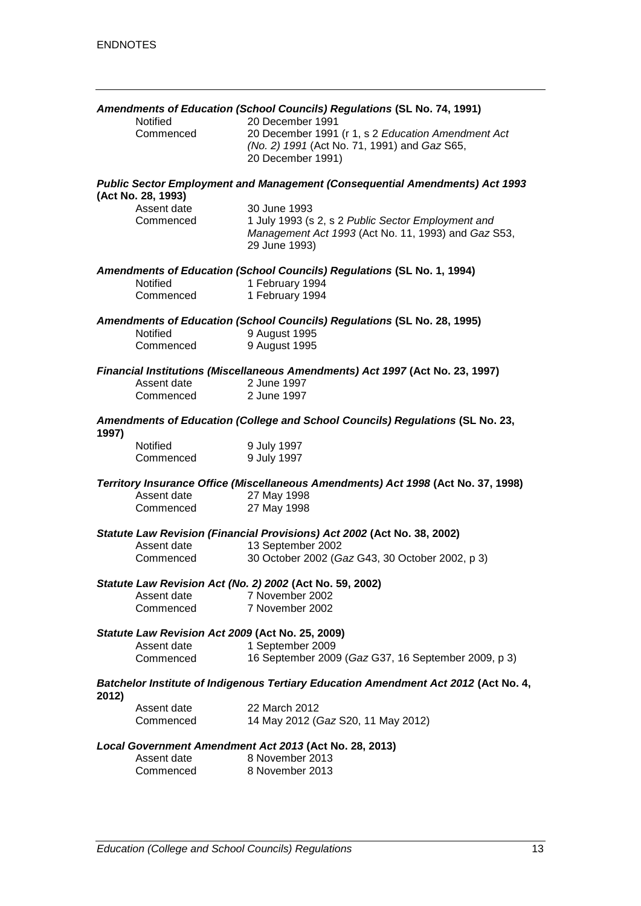|       |                                                  | Amendments of Education (School Councils) Regulations (SL No. 74, 1991)                                                    |
|-------|--------------------------------------------------|----------------------------------------------------------------------------------------------------------------------------|
|       | Notified                                         | 20 December 1991                                                                                                           |
|       | Commenced                                        | 20 December 1991 (r 1, s 2 Education Amendment Act                                                                         |
|       |                                                  | (No. 2) 1991 (Act No. 71, 1991) and Gaz S65,                                                                               |
|       |                                                  | 20 December 1991)                                                                                                          |
|       | (Act No. 28, 1993)                               | <b>Public Sector Employment and Management (Consequential Amendments) Act 1993</b>                                         |
|       | Assent date                                      | 30 June 1993                                                                                                               |
|       | Commenced                                        | 1 July 1993 (s 2, s 2 Public Sector Employment and<br>Management Act 1993 (Act No. 11, 1993) and Gaz S53,<br>29 June 1993) |
|       | Notified                                         | Amendments of Education (School Councils) Regulations (SL No. 1, 1994)<br>1 February 1994                                  |
|       | Commenced                                        | 1 February 1994                                                                                                            |
|       |                                                  |                                                                                                                            |
|       |                                                  | Amendments of Education (School Councils) Regulations (SL No. 28, 1995)                                                    |
|       | Notified                                         | 9 August 1995                                                                                                              |
|       | Commenced                                        | 9 August 1995                                                                                                              |
|       |                                                  | Financial Institutions (Miscellaneous Amendments) Act 1997 (Act No. 23, 1997)                                              |
|       | Assent date                                      | 2 June 1997                                                                                                                |
|       | Commenced                                        | 2 June 1997                                                                                                                |
| 1997) |                                                  | Amendments of Education (College and School Councils) Regulations (SL No. 23,                                              |
|       | Notified                                         | 9 July 1997                                                                                                                |
|       | Commenced                                        | 9 July 1997                                                                                                                |
|       |                                                  | Territory Insurance Office (Miscellaneous Amendments) Act 1998 (Act No. 37, 1998)                                          |
|       | Assent date                                      | 27 May 1998                                                                                                                |
|       | Commenced                                        | 27 May 1998                                                                                                                |
|       |                                                  | Statute Law Revision (Financial Provisions) Act 2002 (Act No. 38, 2002)                                                    |
|       | Assent date                                      | 13 September 2002                                                                                                          |
|       | Commenced                                        | 30 October 2002 (Gaz G43, 30 October 2002, p 3)                                                                            |
|       |                                                  |                                                                                                                            |
|       |                                                  | Statute Law Revision Act (No. 2) 2002 (Act No. 59, 2002)                                                                   |
|       | Assent date                                      | 7 November 2002                                                                                                            |
|       | Commenced                                        | 7 November 2002                                                                                                            |
|       | Statute Law Revision Act 2009 (Act No. 25, 2009) |                                                                                                                            |
|       | Assent date                                      | 1 September 2009                                                                                                           |
|       | Commenced                                        | 16 September 2009 (Gaz G37, 16 September 2009, p 3)                                                                        |
| 2012) |                                                  | Batchelor Institute of Indigenous Tertiary Education Amendment Act 2012 (Act No. 4,                                        |
|       | Assent date                                      | 22 March 2012                                                                                                              |
|       | Commenced                                        | 14 May 2012 (Gaz S20, 11 May 2012)                                                                                         |
|       |                                                  | Local Government Amendment Act 2013 (Act No. 28, 2013)                                                                     |
|       | Assent date                                      | 8 November 2013                                                                                                            |
|       | Commenced                                        | 8 November 2013                                                                                                            |